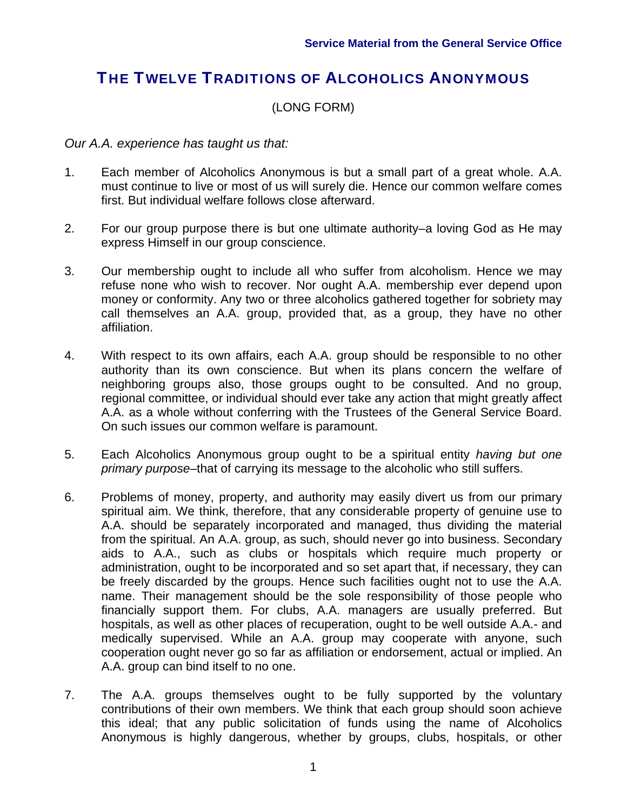## THE TWELVE TRADITIONS OF ALCOHOLICS ANONYMOUS

(LONG FORM)

## *Our A.A. experience has taught us that:*

- 1. Each member of Alcoholics Anonymous is but a small part of a great whole. A.A. must continue to live or most of us will surely die. Hence our common welfare comes first. But individual welfare follows close afterward.
- 2. For our group purpose there is but one ultimate authority–a loving God as He may express Himself in our group conscience.
- 3. Our membership ought to include all who suffer from alcoholism. Hence we may refuse none who wish to recover. Nor ought A.A. membership ever depend upon money or conformity. Any two or three alcoholics gathered together for sobriety may call themselves an A.A. group, provided that, as a group, they have no other affiliation.
- 4. With respect to its own affairs, each A.A. group should be responsible to no other authority than its own conscience. But when its plans concern the welfare of neighboring groups also, those groups ought to be consulted. And no group, regional committee, or individual should ever take any action that might greatly affect A.A. as a whole without conferring with the Trustees of the General Service Board. On such issues our common welfare is paramount.
- 5. Each Alcoholics Anonymous group ought to be a spiritual entity *having but one primary purpose*–that of carrying its message to the alcoholic who still suffers.
- 6. Problems of money, property, and authority may easily divert us from our primary spiritual aim. We think, therefore, that any considerable property of genuine use to A.A. should be separately incorporated and managed, thus dividing the material from the spiritual. An A.A. group, as such, should never go into business. Secondary aids to A.A., such as clubs or hospitals which require much property or administration, ought to be incorporated and so set apart that, if necessary, they can be freely discarded by the groups. Hence such facilities ought not to use the A.A. name. Their management should be the sole responsibility of those people who financially support them. For clubs, A.A. managers are usually preferred. But hospitals, as well as other places of recuperation, ought to be well outside A.A.- and medically supervised. While an A.A. group may cooperate with anyone, such cooperation ought never go so far as affiliation or endorsement, actual or implied. An A.A. group can bind itself to no one.
- 7. The A.A. groups themselves ought to be fully supported by the voluntary contributions of their own members. We think that each group should soon achieve this ideal; that any public solicitation of funds using the name of Alcoholics Anonymous is highly dangerous, whether by groups, clubs, hospitals, or other